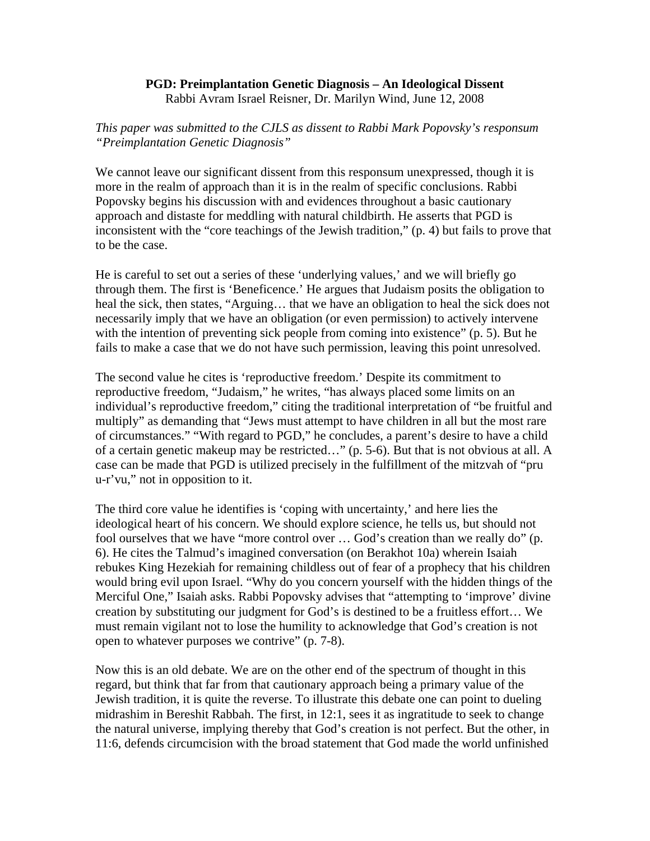## **PGD: Preimplantation Genetic Diagnosis – An Ideological Dissent**  Rabbi Avram Israel Reisner, Dr. Marilyn Wind, June 12, 2008

## *This paper was submitted to the CJLS as dissent to Rabbi Mark Popovsky's responsum "Preimplantation Genetic Diagnosis"*

We cannot leave our significant dissent from this responsum unexpressed, though it is more in the realm of approach than it is in the realm of specific conclusions. Rabbi Popovsky begins his discussion with and evidences throughout a basic cautionary approach and distaste for meddling with natural childbirth. He asserts that PGD is inconsistent with the "core teachings of the Jewish tradition," (p. 4) but fails to prove that to be the case.

He is careful to set out a series of these 'underlying values,' and we will briefly go through them. The first is 'Beneficence.' He argues that Judaism posits the obligation to heal the sick, then states, "Arguing… that we have an obligation to heal the sick does not necessarily imply that we have an obligation (or even permission) to actively intervene with the intention of preventing sick people from coming into existence" (p. 5). But he fails to make a case that we do not have such permission, leaving this point unresolved.

The second value he cites is 'reproductive freedom.' Despite its commitment to reproductive freedom, "Judaism," he writes, "has always placed some limits on an individual's reproductive freedom," citing the traditional interpretation of "be fruitful and multiply" as demanding that "Jews must attempt to have children in all but the most rare of circumstances." "With regard to PGD," he concludes, a parent's desire to have a child of a certain genetic makeup may be restricted…" (p. 5-6). But that is not obvious at all. A case can be made that PGD is utilized precisely in the fulfillment of the mitzvah of "pru u-r'vu," not in opposition to it.

The third core value he identifies is 'coping with uncertainty,' and here lies the ideological heart of his concern. We should explore science, he tells us, but should not fool ourselves that we have "more control over … God's creation than we really do" (p. 6). He cites the Talmud's imagined conversation (on Berakhot 10a) wherein Isaiah rebukes King Hezekiah for remaining childless out of fear of a prophecy that his children would bring evil upon Israel. "Why do you concern yourself with the hidden things of the Merciful One," Isaiah asks. Rabbi Popovsky advises that "attempting to 'improve' divine creation by substituting our judgment for God's is destined to be a fruitless effort… We must remain vigilant not to lose the humility to acknowledge that God's creation is not open to whatever purposes we contrive" (p. 7-8).

Now this is an old debate. We are on the other end of the spectrum of thought in this regard, but think that far from that cautionary approach being a primary value of the Jewish tradition, it is quite the reverse. To illustrate this debate one can point to dueling midrashim in Bereshit Rabbah. The first, in 12:1, sees it as ingratitude to seek to change the natural universe, implying thereby that God's creation is not perfect. But the other, in 11:6, defends circumcision with the broad statement that God made the world unfinished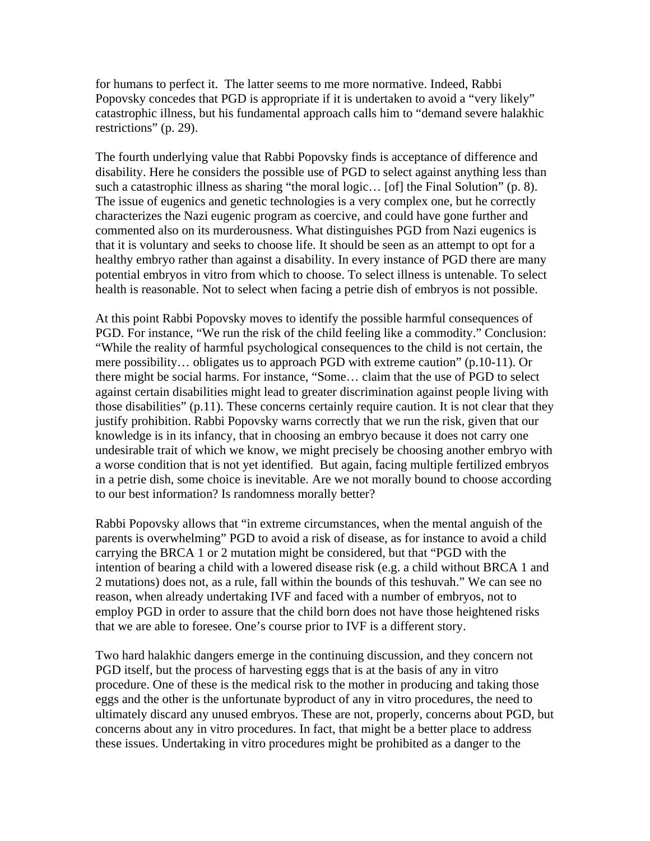for humans to perfect it. The latter seems to me more normative. Indeed, Rabbi Popovsky concedes that PGD is appropriate if it is undertaken to avoid a "very likely" catastrophic illness, but his fundamental approach calls him to "demand severe halakhic restrictions" (p. 29).

The fourth underlying value that Rabbi Popovsky finds is acceptance of difference and disability. Here he considers the possible use of PGD to select against anything less than such a catastrophic illness as sharing "the moral logic... [of] the Final Solution" (p. 8). The issue of eugenics and genetic technologies is a very complex one, but he correctly characterizes the Nazi eugenic program as coercive, and could have gone further and commented also on its murderousness. What distinguishes PGD from Nazi eugenics is that it is voluntary and seeks to choose life. It should be seen as an attempt to opt for a healthy embryo rather than against a disability. In every instance of PGD there are many potential embryos in vitro from which to choose. To select illness is untenable. To select health is reasonable. Not to select when facing a petrie dish of embryos is not possible.

At this point Rabbi Popovsky moves to identify the possible harmful consequences of PGD. For instance, "We run the risk of the child feeling like a commodity." Conclusion: "While the reality of harmful psychological consequences to the child is not certain, the mere possibility… obligates us to approach PGD with extreme caution" (p.10-11). Or there might be social harms. For instance, "Some… claim that the use of PGD to select against certain disabilities might lead to greater discrimination against people living with those disabilities" (p.11). These concerns certainly require caution. It is not clear that they justify prohibition. Rabbi Popovsky warns correctly that we run the risk, given that our knowledge is in its infancy, that in choosing an embryo because it does not carry one undesirable trait of which we know, we might precisely be choosing another embryo with a worse condition that is not yet identified. But again, facing multiple fertilized embryos in a petrie dish, some choice is inevitable. Are we not morally bound to choose according to our best information? Is randomness morally better?

Rabbi Popovsky allows that "in extreme circumstances, when the mental anguish of the parents is overwhelming" PGD to avoid a risk of disease, as for instance to avoid a child carrying the BRCA 1 or 2 mutation might be considered, but that "PGD with the intention of bearing a child with a lowered disease risk (e.g. a child without BRCA 1 and 2 mutations) does not, as a rule, fall within the bounds of this teshuvah." We can see no reason, when already undertaking IVF and faced with a number of embryos, not to employ PGD in order to assure that the child born does not have those heightened risks that we are able to foresee. One's course prior to IVF is a different story.

Two hard halakhic dangers emerge in the continuing discussion, and they concern not PGD itself, but the process of harvesting eggs that is at the basis of any in vitro procedure. One of these is the medical risk to the mother in producing and taking those eggs and the other is the unfortunate byproduct of any in vitro procedures, the need to ultimately discard any unused embryos. These are not, properly, concerns about PGD, but concerns about any in vitro procedures. In fact, that might be a better place to address these issues. Undertaking in vitro procedures might be prohibited as a danger to the